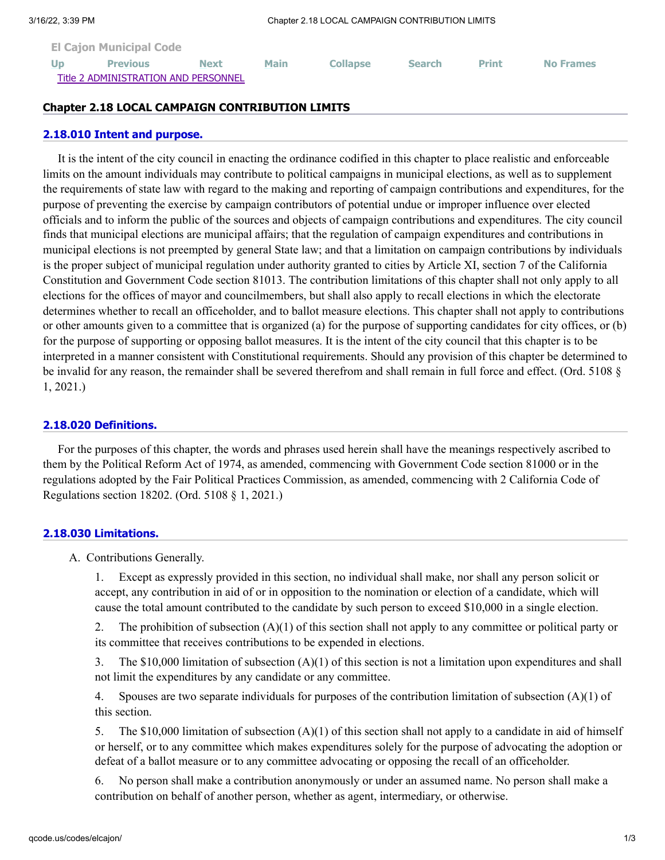| <b>El Cajon Municipal Code</b> |                                      |             |             |                 |               |              |                  |
|--------------------------------|--------------------------------------|-------------|-------------|-----------------|---------------|--------------|------------------|
| <b>Up</b>                      | <b>Previous</b>                      | <b>Next</b> | <b>Main</b> | <b>Collapse</b> | <b>Search</b> | <b>Print</b> | <b>No Frames</b> |
|                                | Title 2 ADMINISTRATION AND PERSONNEL |             |             |                 |               |              |                  |

### **Chapter 2.18 LOCAL CAMPAIGN CONTRIBUTION LIMITS**

#### **[2.18.010 Intent and purpose.](http://qcode.us/codes/elcajon/view.php?topic=2-2_18-2_18_010&frames=on)**

It is the intent of the city council in enacting the ordinance codified in this chapter to place realistic and enforceable limits on the amount individuals may contribute to political campaigns in municipal elections, as well as to supplement the requirements of state law with regard to the making and reporting of campaign contributions and expenditures, for the purpose of preventing the exercise by campaign contributors of potential undue or improper influence over elected officials and to inform the public of the sources and objects of campaign contributions and expenditures. The city council finds that municipal elections are municipal affairs; that the regulation of campaign expenditures and contributions in municipal elections is not preempted by general State law; and that a limitation on campaign contributions by individuals is the proper subject of municipal regulation under authority granted to cities by Article XI, section 7 of the California Constitution and Government Code section 81013. The contribution limitations of this chapter shall not only apply to all elections for the offices of mayor and councilmembers, but shall also apply to recall elections in which the electorate determines whether to recall an officeholder, and to ballot measure elections. This chapter shall not apply to contributions or other amounts given to a committee that is organized (a) for the purpose of supporting candidates for city offices, or (b) for the purpose of supporting or opposing ballot measures. It is the intent of the city council that this chapter is to be interpreted in a manner consistent with Constitutional requirements. Should any provision of this chapter be determined to be invalid for any reason, the remainder shall be severed therefrom and shall remain in full force and effect. (Ord. 5108 § 1, 2021.)

#### **[2.18.020 Definitions.](http://qcode.us/codes/elcajon/view.php?topic=2-2_18-2_18_020&frames=on)**

For the purposes of this chapter, the words and phrases used herein shall have the meanings respectively ascribed to them by the Political Reform Act of 1974, as amended, commencing with Government Code section 81000 or in the regulations adopted by the Fair Political Practices Commission, as amended, commencing with 2 California Code of Regulations section 18202. (Ord. 5108 § 1, 2021.)

### **[2.18.030 Limitations.](http://qcode.us/codes/elcajon/view.php?topic=2-2_18-2_18_030&frames=on)**

A. Contributions Generally.

1. Except as expressly provided in this section, no individual shall make, nor shall any person solicit or accept, any contribution in aid of or in opposition to the nomination or election of a candidate, which will cause the total amount contributed to the candidate by such person to exceed \$10,000 in a single election.

2. The prohibition of subsection (A)(1) of this section shall not apply to any committee or political party or its committee that receives contributions to be expended in elections.

3. The \$10,000 limitation of subsection (A)(1) of this section is not a limitation upon expenditures and shall not limit the expenditures by any candidate or any committee.

4. Spouses are two separate individuals for purposes of the contribution limitation of subsection (A)(1) of this section.

5. The \$10,000 limitation of subsection (A)(1) of this section shall not apply to a candidate in aid of himself or herself, or to any committee which makes expenditures solely for the purpose of advocating the adoption or defeat of a ballot measure or to any committee advocating or opposing the recall of an officeholder.

6. No person shall make a contribution anonymously or under an assumed name. No person shall make a contribution on behalf of another person, whether as agent, intermediary, or otherwise.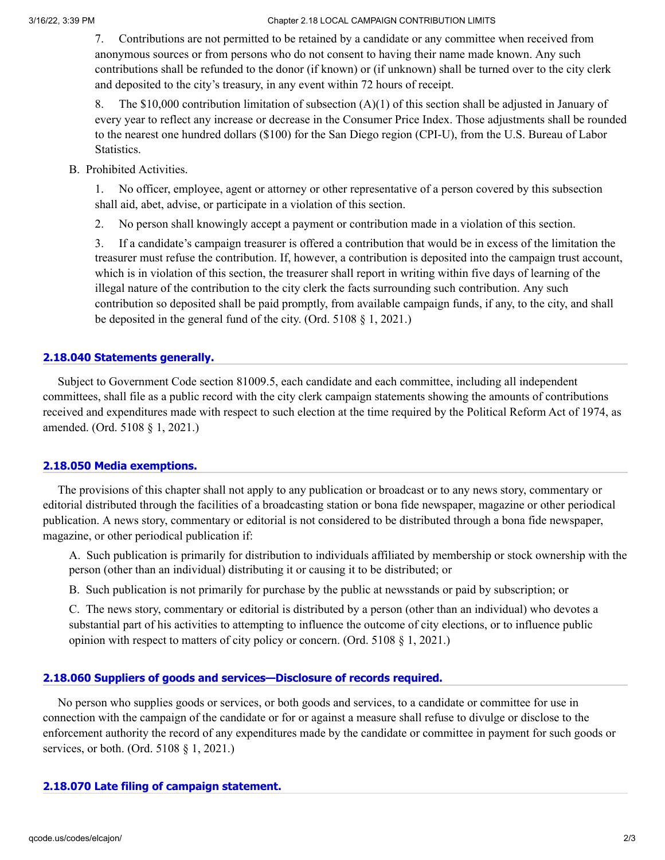#### 3/16/22, 3:39 PM Chapter 2.18 LOCAL CAMPAIGN CONTRIBUTION LIMITS

7. Contributions are not permitted to be retained by a candidate or any committee when received from anonymous sources or from persons who do not consent to having their name made known. Any such contributions shall be refunded to the donor (if known) or (if unknown) shall be turned over to the city clerk and deposited to the city's treasury, in any event within 72 hours of receipt.

8. The \$10,000 contribution limitation of subsection (A)(1) of this section shall be adjusted in January of every year to reflect any increase or decrease in the Consumer Price Index. Those adjustments shall be rounded to the nearest one hundred dollars (\$100) for the San Diego region (CPI-U), from the U.S. Bureau of Labor Statistics.

B. Prohibited Activities.

1. No officer, employee, agent or attorney or other representative of a person covered by this subsection shall aid, abet, advise, or participate in a violation of this section.

2. No person shall knowingly accept a payment or contribution made in a violation of this section.

3. If a candidate's campaign treasurer is offered a contribution that would be in excess of the limitation the treasurer must refuse the contribution. If, however, a contribution is deposited into the campaign trust account, which is in violation of this section, the treasurer shall report in writing within five days of learning of the illegal nature of the contribution to the city clerk the facts surrounding such contribution. Any such contribution so deposited shall be paid promptly, from available campaign funds, if any, to the city, and shall be deposited in the general fund of the city. (Ord. 5108 § 1, 2021.)

### **[2.18.040 Statements generally.](http://qcode.us/codes/elcajon/view.php?topic=2-2_18-2_18_040&frames=on)**

Subject to Government Code section 81009.5, each candidate and each committee, including all independent committees, shall file as a public record with the city clerk campaign statements showing the amounts of contributions received and expenditures made with respect to such election at the time required by the Political Reform Act of 1974, as amended. (Ord. 5108 § 1, 2021.)

### **[2.18.050 Media exemptions.](http://qcode.us/codes/elcajon/view.php?topic=2-2_18-2_18_050&frames=on)**

The provisions of this chapter shall not apply to any publication or broadcast or to any news story, commentary or editorial distributed through the facilities of a broadcasting station or bona fide newspaper, magazine or other periodical publication. A news story, commentary or editorial is not considered to be distributed through a bona fide newspaper, magazine, or other periodical publication if:

A. Such publication is primarily for distribution to individuals affiliated by membership or stock ownership with the person (other than an individual) distributing it or causing it to be distributed; or

B. Such publication is not primarily for purchase by the public at newsstands or paid by subscription; or

C. The news story, commentary or editorial is distributed by a person (other than an individual) who devotes a substantial part of his activities to attempting to influence the outcome of city elections, or to influence public opinion with respect to matters of city policy or concern. (Ord. 5108 § 1, 2021.)

### **[2.18.060 Suppliers of goods and services—Disclosure of records required.](http://qcode.us/codes/elcajon/view.php?topic=2-2_18-2_18_060&frames=on)**

No person who supplies goods or services, or both goods and services, to a candidate or committee for use in connection with the campaign of the candidate or for or against a measure shall refuse to divulge or disclose to the enforcement authority the record of any expenditures made by the candidate or committee in payment for such goods or services, or both. (Ord. 5108 § 1, 2021.)

#### **[2.18.070 Late filing of campaign statement.](http://qcode.us/codes/elcajon/view.php?topic=2-2_18-2_18_070&frames=on)**